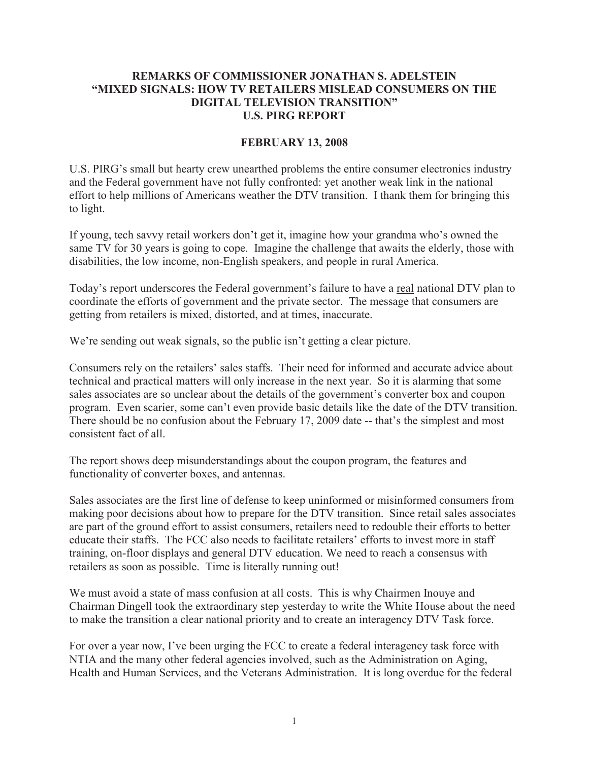## **REMARKS OF COMMISSIONER JONATHAN S. ADELSTEIN "MIXED SIGNALS: HOW TV RETAILERS MISLEAD CONSUMERS ON THE DIGITAL TELEVISION TRANSITION" U.S. PIRG REPORT**

## **FEBRUARY 13, 2008**

U.S. PIRG's small but hearty crew unearthed problems the entire consumer electronics industry and the Federal government have not fully confronted: yet another weak link in the national effort to help millions of Americans weather the DTV transition. I thank them for bringing this to light.

If young, tech savvy retail workers don't get it, imagine how your grandma who's owned the same TV for 30 years is going to cope. Imagine the challenge that awaits the elderly, those with disabilities, the low income, non-English speakers, and people in rural America.

Today's report underscores the Federal government's failure to have a real national DTV plan to coordinate the efforts of government and the private sector. The message that consumers are getting from retailers is mixed, distorted, and at times, inaccurate.

We're sending out weak signals, so the public isn't getting a clear picture.

Consumers rely on the retailers' sales staffs. Their need for informed and accurate advice about technical and practical matters will only increase in the next year. So it is alarming that some sales associates are so unclear about the details of the government's converter box and coupon program. Even scarier, some can't even provide basic details like the date of the DTV transition. There should be no confusion about the February 17, 2009 date -- that's the simplest and most consistent fact of all.

The report shows deep misunderstandings about the coupon program, the features and functionality of converter boxes, and antennas.

Sales associates are the first line of defense to keep uninformed or misinformed consumers from making poor decisions about how to prepare for the DTV transition. Since retail sales associates are part of the ground effort to assist consumers, retailers need to redouble their efforts to better educate their staffs. The FCC also needs to facilitate retailers' efforts to invest more in staff training, on-floor displays and general DTV education. We need to reach a consensus with retailers as soon as possible. Time is literally running out!

We must avoid a state of mass confusion at all costs. This is why Chairmen Inouye and Chairman Dingell took the extraordinary step yesterday to write the White House about the need to make the transition a clear national priority and to create an interagency DTV Task force.

For over a year now, I've been urging the FCC to create a federal interagency task force with NTIA and the many other federal agencies involved, such as the Administration on Aging, Health and Human Services, and the Veterans Administration. It is long overdue for the federal